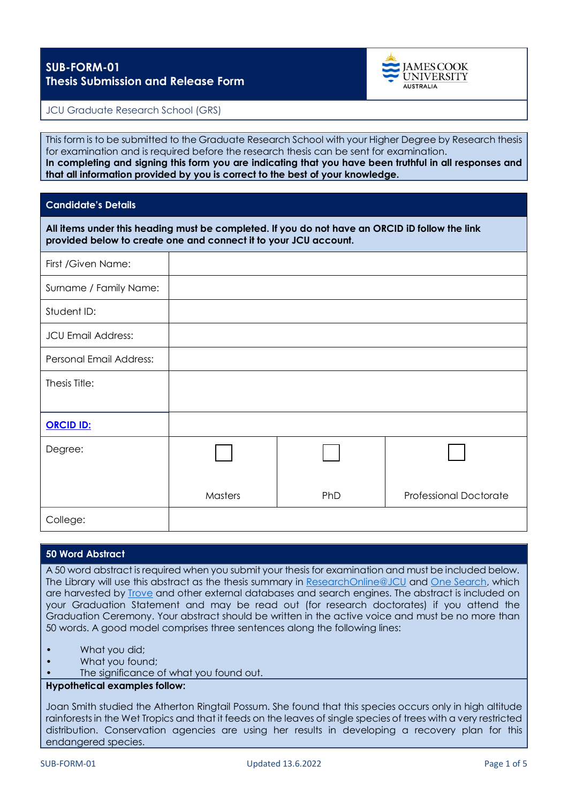

# JCU Graduate Research School (GRS)

This form is to be submitted to the Graduate Research School with your Higher Degree by Research thesis for examination and is required before the research thesis can be sent for examination. **In completing and signing this form you are indicating that you have been truthful in all responses and that all information provided by you is correct to the best of your knowledge.**

# **Candidate's Details**

**All items under this heading must be completed. If you do not have an ORCID iD follow the link provided below to create one and connect it to your JCU account.**

| First /Given Name:        |         |     |                               |
|---------------------------|---------|-----|-------------------------------|
| Surname / Family Name:    |         |     |                               |
| Student ID:               |         |     |                               |
| <b>JCU Email Address:</b> |         |     |                               |
| Personal Email Address:   |         |     |                               |
| Thesis Title:             |         |     |                               |
|                           |         |     |                               |
| <b>ORCID ID:</b>          |         |     |                               |
| Degree:                   |         |     |                               |
|                           | Masters | PhD | <b>Professional Doctorate</b> |
| College:                  |         |     |                               |

#### **50 Word Abstract**

A 50 word abstract is required when you submit your thesis for examination and must be included below. The Library will use this abstract as the thesis summary in [ResearchOnline@JCU](https://researchonline.jcu.edu.au/) and [One Search,](https://jcu.primo.exlibrisgroup.com/discovery/search?vid=61ARL_JCU:JCU&lang=en) which are harvested by [Trove](https://trove.nla.gov.au/) and other external databases and search engines. The abstract is included on your Graduation Statement and may be read out (for research doctorates) if you attend the Graduation Ceremony. Your abstract should be written in the active voice and must be no more than 50 words. A good model comprises three sentences along the following lines:

- What you did;
- What you found;
- The significance of what you found out.

#### **Hypothetical examples follow:**

Joan Smith studied the Atherton Ringtail Possum. She found that this species occurs only in high altitude rainforests in the Wet Tropics and that it feeds on the leaves of single species of trees with a very restricted distribution. Conservation agencies are using her results in developing a recovery plan for this endangered species.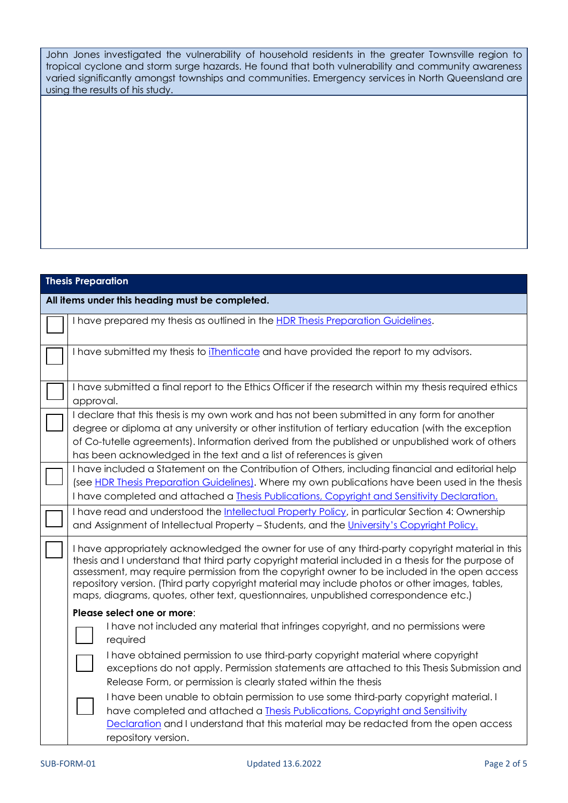John Jones investigated the vulnerability of household residents in the greater Townsville region to tropical cyclone and storm surge hazards. He found that both vulnerability and community awareness varied significantly amongst townships and communities. Emergency services in North Queensland are using the results of his study.

| <b>Thesis Preparation</b>                                                                                                                                                                                                                                                                                                                                                                                                                                                                            |  |
|------------------------------------------------------------------------------------------------------------------------------------------------------------------------------------------------------------------------------------------------------------------------------------------------------------------------------------------------------------------------------------------------------------------------------------------------------------------------------------------------------|--|
| All items under this heading must be completed.                                                                                                                                                                                                                                                                                                                                                                                                                                                      |  |
| I have prepared my thesis as outlined in the HDR Thesis Preparation Guidelines.                                                                                                                                                                                                                                                                                                                                                                                                                      |  |
| I have submitted my thesis to <i>ilhenticate</i> and have provided the report to my advisors.                                                                                                                                                                                                                                                                                                                                                                                                        |  |
| I have submitted a final report to the Ethics Officer if the research within my thesis required ethics<br>approval.                                                                                                                                                                                                                                                                                                                                                                                  |  |
| I declare that this thesis is my own work and has not been submitted in any form for another<br>degree or diploma at any university or other institution of tertiary education (with the exception<br>of Co-tutelle agreements). Information derived from the published or unpublished work of others<br>has been acknowledged in the text and a list of references is given                                                                                                                         |  |
| I have included a Statement on the Contribution of Others, including financial and editorial help<br>(see HDR Thesis Preparation Guidelines). Where my own publications have been used in the thesis<br>I have completed and attached a Thesis Publications, Copyright and Sensitivity Declaration.                                                                                                                                                                                                  |  |
| I have read and understood the Intellectual Property Policy, in particular Section 4: Ownership<br>and Assignment of Intellectual Property - Students, and the University's Copyright Policy.                                                                                                                                                                                                                                                                                                        |  |
| I have appropriately acknowledged the owner for use of any third-party copyright material in this<br>thesis and I understand that third party copyright material included in a thesis for the purpose of<br>assessment, may require permission from the copyright owner to be included in the open access<br>repository version. (Third party copyright material may include photos or other images, tables,<br>maps, diagrams, quotes, other text, questionnaires, unpublished correspondence etc.) |  |
| Please select one or more:<br>I have not included any material that infringes copyright, and no permissions were<br>required                                                                                                                                                                                                                                                                                                                                                                         |  |
| I have obtained permission to use third-party copyright material where copyright<br>exceptions do not apply. Permission statements are attached to this Thesis Submission and<br>Release Form, or permission is clearly stated within the thesis                                                                                                                                                                                                                                                     |  |
| I have been unable to obtain permission to use some third-party copyright material. I<br>have completed and attached a Thesis Publications, Copyright and Sensitivity<br>Declaration and I understand that this material may be redacted from the open access<br>repository version.                                                                                                                                                                                                                 |  |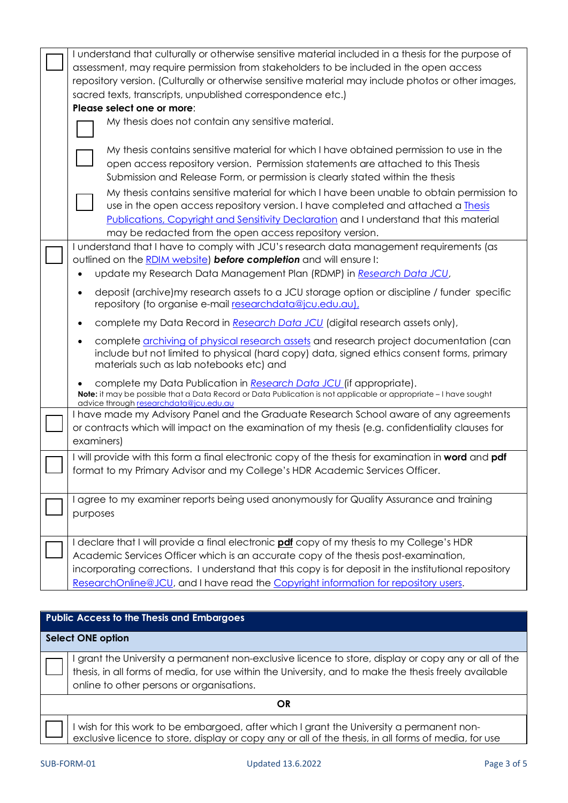| I understand that culturally or otherwise sensitive material included in a thesis for the purpose of<br>assessment, may require permission from stakeholders to be included in the open access<br>repository version. (Culturally or otherwise sensitive material may include photos or other images,<br>sacred texts, transcripts, unpublished correspondence etc.)<br>Please select one or more:<br>My thesis does not contain any sensitive material.<br>My thesis contains sensitive material for which I have obtained permission to use in the<br>open access repository version. Permission statements are attached to this Thesis |
|-------------------------------------------------------------------------------------------------------------------------------------------------------------------------------------------------------------------------------------------------------------------------------------------------------------------------------------------------------------------------------------------------------------------------------------------------------------------------------------------------------------------------------------------------------------------------------------------------------------------------------------------|
| Submission and Release Form, or permission is clearly stated within the thesis<br>My thesis contains sensitive material for which I have been unable to obtain permission to<br>use in the open access repository version. I have completed and attached a <i>Ihesis</i><br>Publications, Copyright and Sensitivity Declaration and I understand that this material<br>may be redacted from the open access repository version.                                                                                                                                                                                                           |
| I understand that I have to comply with JCU's research data management requirements (as<br>outlined on the RDIM website) before completion and will ensure I:<br>update my Research Data Management Plan (RDMP) in Research Data JCU,<br>deposit (archive) my research assets to a JCU storage option or discipline / funder specific<br>repository (to organise e-mail researchdata@jcu.edu.au),<br>complete my Data Record in Research Data JCU (digital research assets only),                                                                                                                                                         |
| complete archiving of physical research assets and research project documentation (can<br>include but not limited to physical (hard copy) data, signed ethics consent forms, primary<br>materials such as lab notebooks etc) and<br>complete my Data Publication in Research Data JCU (if appropriate).<br>Note: it may be possible that a Data Record or Data Publication is not applicable or appropriate - I have sought<br>advice through researchdata@jcu.edu.au                                                                                                                                                                     |
| I have made my Advisory Panel and the Graduate Research School aware of any agreements<br>or contracts which will impact on the examination of my thesis (e.g. confidentiality clauses for<br>examiners)                                                                                                                                                                                                                                                                                                                                                                                                                                  |
| I will provide with this form a final electronic copy of the thesis for examination in word and pdf<br>format to my Primary Advisor and my College's HDR Academic Services Officer.                                                                                                                                                                                                                                                                                                                                                                                                                                                       |
| I agree to my examiner reports being used anonymously for Quality Assurance and training<br>purposes                                                                                                                                                                                                                                                                                                                                                                                                                                                                                                                                      |
| I declare that I will provide a final electronic <b>pdf</b> copy of my thesis to my College's HDR<br>Academic Services Officer which is an accurate copy of the thesis post-examination,<br>incorporating corrections. I understand that this copy is for deposit in the institutional repository<br>ResearchOnline@JCU, and I have read the Copyright information for repository users.                                                                                                                                                                                                                                                  |
|                                                                                                                                                                                                                                                                                                                                                                                                                                                                                                                                                                                                                                           |

# **Public Access to the Thesis and Embargoes**

# **Select ONE option**

I grant the University a permanent non-exclusive licence to store, display or copy any or all of the thesis, in all forms of media, for use within the University, and to make the thesis freely available online to other persons or organisations.

**OR**

I wish for this work to be embargoed, after which I grant the University a permanent nonexclusive licence to store, display or copy any or all of the thesis, in all forms of media, for use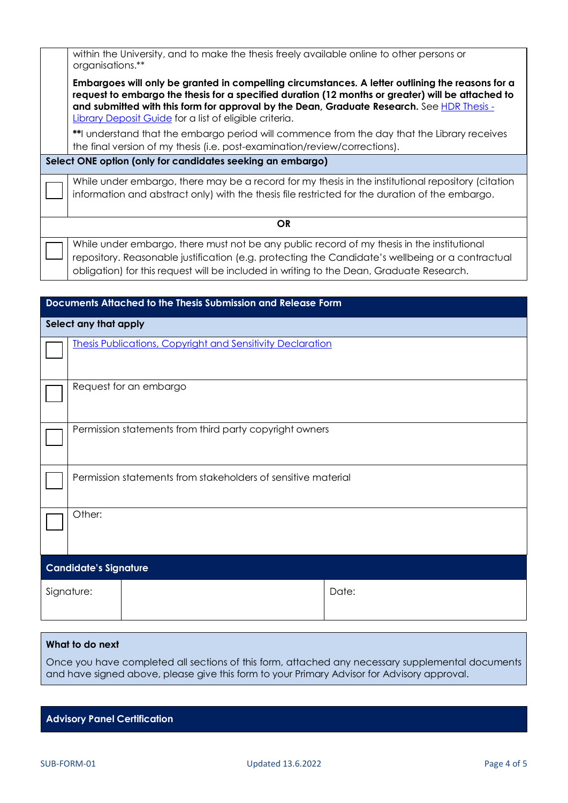|                                                            | within the University, and to make the thesis freely available online to other persons or<br>organisations.**                                                                                                                                                                                                                                                 |  |  |
|------------------------------------------------------------|---------------------------------------------------------------------------------------------------------------------------------------------------------------------------------------------------------------------------------------------------------------------------------------------------------------------------------------------------------------|--|--|
|                                                            | Embargoes will only be granted in compelling circumstances. A letter outlining the reasons for a<br>request to embargo the thesis for a specified duration (12 months or greater) will be attached to<br>and submitted with this form for approval by the Dean, Graduate Research. See HDR Thesis -<br>Library Deposit Guide for a list of eligible criteria. |  |  |
|                                                            | **I understand that the embargo period will commence from the day that the Library receives<br>the final version of my thesis (i.e. post-examination/review/corrections).                                                                                                                                                                                     |  |  |
| Select ONE option (only for candidates seeking an embargo) |                                                                                                                                                                                                                                                                                                                                                               |  |  |
|                                                            | While under embargo, there may be a record for my thesis in the institutional repository (citation<br>information and abstract only) with the thesis file restricted for the duration of the embargo.                                                                                                                                                         |  |  |
| <b>OR</b>                                                  |                                                                                                                                                                                                                                                                                                                                                               |  |  |
|                                                            | While under embargo, there must not be any public record of my thesis in the institutional<br>repository. Reasonable justification (e.g. protecting the Candidate's wellbeing or a contractual<br>obligation) for this request will be included in writing to the Dean, Graduate Research.                                                                    |  |  |
|                                                            |                                                                                                                                                                                                                                                                                                                                                               |  |  |

| Documents Attached to the Thesis Submission and Release Form |                                                                   |       |  |
|--------------------------------------------------------------|-------------------------------------------------------------------|-------|--|
| Select any that apply                                        |                                                                   |       |  |
|                                                              | <b>Thesis Publications, Copyright and Sensitivity Declaration</b> |       |  |
|                                                              | Request for an embargo                                            |       |  |
|                                                              | Permission statements from third party copyright owners           |       |  |
|                                                              | Permission statements from stakeholders of sensitive material     |       |  |
|                                                              | Other:                                                            |       |  |
| <b>Candidate's Signature</b>                                 |                                                                   |       |  |
|                                                              | Signature:                                                        | Date: |  |

# **What to do next**

Once you have completed all sections of this form, attached any necessary supplemental documents and have signed above, please give this form to your Primary Advisor for Advisory approval.

|  |  | <b>Advisory Panel Certification</b> |
|--|--|-------------------------------------|
|--|--|-------------------------------------|